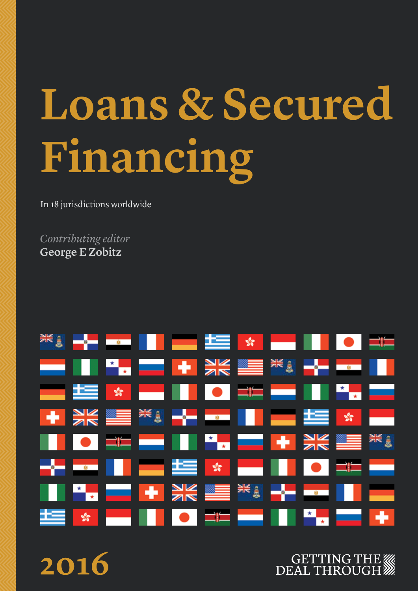# **Loans & Secured Financing**

In 18 jurisdictions worldwide

*Contributing editor* **George E Zobitz**

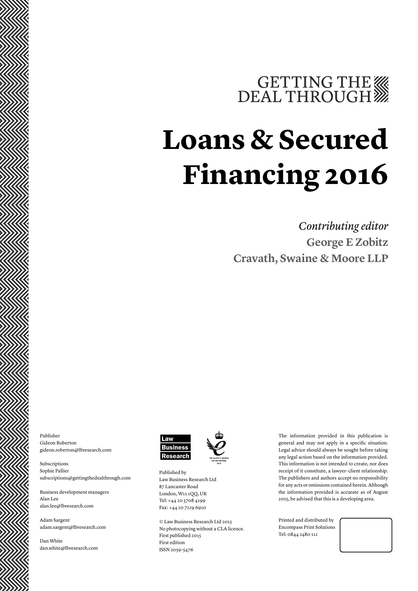### GETTING THE

### **Loans & Secured Financing 2016**

*Contributing editor* **George E Zobitz Cravath, Swaine & Moore LLP**

Publisher Gideon Roberton gideon.roberton@lbresearch.com

Subscriptions Sophie Pallier subscriptions@gettingthedealthrough.com

Business development managers Alan Lee alan.lee@lbresearch.com

Adam Sargent adam.sargent@lbresearch.com

Dan White dan.white@lbresearch.com



Published by Law Business Research Ltd 87 Lancaster Road London, W11 1QQ, UK Tel: +44 20 3708 4199 Fax: +44 20 7229 6910

© Law Business Research Ltd 2015 No photocopying without a CLA licence. First published 2015 First edition ISSN 2059-5476

The information provided in this publication is general and may not apply in a specific situation. Legal advice should always be sought before taking any legal action based on the information provided. This information is not intended to create, nor does receipt of it constitute, a lawyer–client relationship. The publishers and authors accept no responsibility for any acts or omissions contained herein. Although the information provided is accurate as of August 2015, be advised that this is a developing area.

Printed and distributed by Encompass Print Solutions Tel: 0844 2480 112

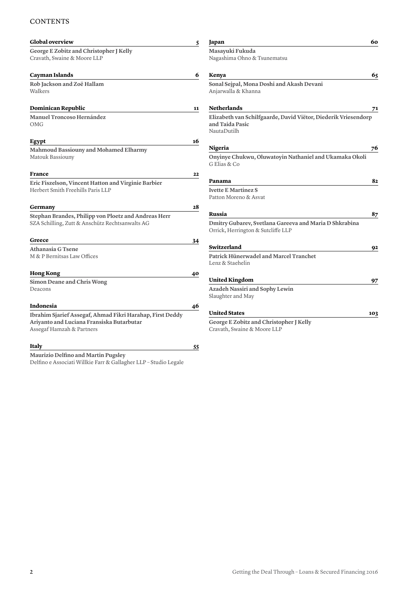#### **CONTENTS**

| <b>Global overview</b>                                                 | 5  | Japan                                                                                            | 60  |
|------------------------------------------------------------------------|----|--------------------------------------------------------------------------------------------------|-----|
| George E Zobitz and Christopher J Kelly<br>Cravath, Swaine & Moore LLP |    | Masayuki Fukuda<br>Nagashima Ohno & Tsunematsu                                                   |     |
| <b>Cayman Islands</b>                                                  | 6  | Kenya                                                                                            | 65  |
| Rob Jackson and Zoë Hallam<br>Walkers                                  |    | Sonal Sejpal, Mona Doshi and Akash Devani<br>Anjarwalla & Khanna                                 |     |
| Dominican Republic                                                     | 11 | <b>Netherlands</b>                                                                               | 71  |
| <b>Manuel Troncoso Hernández</b><br><b>OMG</b>                         |    | Elizabeth van Schilfgaarde, David Viëtor, Diederik Vriesendorp<br>and Taida Pasic<br>NautaDutilh |     |
| Egypt                                                                  | 16 |                                                                                                  |     |
| Mahmoud Bassiouny and Mohamed Elharmy                                  |    | Nigeria                                                                                          | 76  |
| Matouk Bassiouny                                                       |    | Onyinye Chukwu, Oluwatoyin Nathaniel and Ukamaka Okoli<br>G Elias & Co                           |     |
| <b>France</b>                                                          | 22 |                                                                                                  |     |
| Eric Fiszelson, Vincent Hatton and Virginie Barbier                    |    | Panama                                                                                           | 82  |
| Herbert Smith Freehills Paris LLP                                      |    | <b>Ivette E Martinez S</b><br>Patton Moreno & Asvat                                              |     |
| Germany                                                                | 28 |                                                                                                  |     |
| Stephan Brandes, Philipp von Ploetz and Andreas Herr                   |    | Russia                                                                                           | 87  |
| SZA Schilling, Zutt & Anschütz Rechtsanwalts AG                        |    | Dmitry Gubarev, Svetlana Gareeva and Maria D Shkrabina<br>Orrick, Herrington & Sutcliffe LLP     |     |
| Greece                                                                 | 34 |                                                                                                  |     |
| Athanasia G Tsene                                                      |    | Switzerland                                                                                      | 92  |
| M & P Bernitsas Law Offices                                            |    | Patrick Hünerwadel and Marcel Tranchet<br>Lenz & Staehelin                                       |     |
| <b>Hong Kong</b>                                                       | 40 |                                                                                                  |     |
| Simon Deane and Chris Wong                                             |    | <b>United Kingdom</b>                                                                            | 97  |
| Deacons                                                                |    | Azadeh Nassiri and Sophy Lewin<br>Slaughter and May                                              |     |
| Indonesia                                                              | 46 |                                                                                                  |     |
| Ibrahim Sjarief Assegaf, Ahmad Fikri Harahap, First Deddy              |    | <b>United States</b>                                                                             | 103 |
| Ariyanto and Luciana Fransiska Butarbutar                              |    | George E Zobitz and Christopher J Kelly                                                          |     |
| Assegaf Hamzah & Partners                                              |    | Cravath, Swaine & Moore LLP                                                                      |     |
| Italy                                                                  | 55 |                                                                                                  |     |
| Maurizio Delfino and Martin Pugsley                                    |    |                                                                                                  |     |

Delfino e Associati Willkie Farr & Gallagher LLP – Studio Legale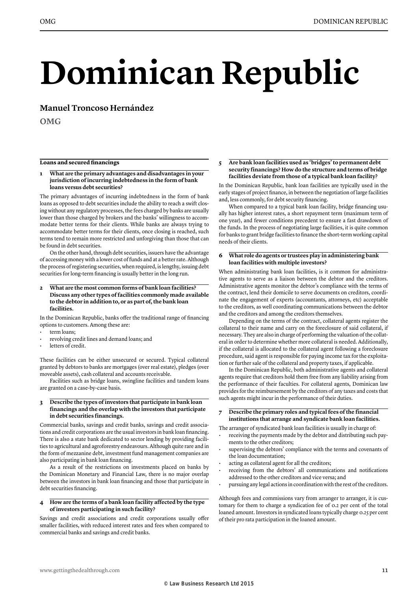## **Dominican Republic**

**Manuel Troncoso Hernández**

**OMG**

#### **Loans and secured financings**

#### **1 What are the primary advantages and disadvantages in your jurisdiction of incurring indebtedness in the form of bank loans versus debt securities?**

The primary advantages of incurring indebtedness in the form of bank loans as opposed to debt securities include the ability to reach a swift closing without any regulatory processes, the fees charged by banks are usually lower than those charged by brokers and the banks' willingness to accommodate better terms for their clients. While banks are always trying to accommodate better terms for their clients, once closing is reached, such terms tend to remain more restricted and unforgiving than those that can be found in debt securities.

On the other hand, through debt securities, issuers have the advantage of accessing money with a lower cost of funds and at a better rate. Although the process of registering securities, when required, is lengthy, issuing debt securities for long-term financing is usually better in the long run.

**2 What are the most common forms of bank loan facilities? Discuss any other types of facilities commonly made available to the debtor in addition to, or as part of, the bank loan facilities.**

In the Dominican Republic, banks offer the traditional range of financing options to customers. Among these are:

- term loans;
- revolving credit lines and demand loans; and
- letters of credit.

These facilities can be either unsecured or secured. Typical collateral granted by debtors to banks are mortgages (over real estate), pledges (over moveable assets), cash collateral and accounts receivable.

Facilities such as bridge loans, swingline facilities and tandem loans are granted on a case-by-case basis.

#### **3 Describe the types of investors that participate in bank loan financings and the overlap with the investors that participate in debt securities financings.**

Commercial banks, savings and credit banks, savings and credit associations and credit corporations are the usual investors in bank loan financing. There is also a state bank dedicated to sector lending by providing facilities to agricultural and agroforestry endeavours. Although quite rare and in the form of mezzanine debt, investment fund management companies are also participating in bank loan financing.

As a result of the restrictions on investments placed on banks by the Dominican Monetary and Financial Law, there is no major overlap between the investors in bank loan financing and those that participate in debt securities financing.

#### **4 How are the terms of a bank loan facility affected by the type of investors participating in such facility?**

Savings and credit associations and credit corporations usually offer smaller facilities, with reduced interest rates and fees when compared to commercial banks and savings and credit banks.

#### **5 Are bank loan facilities used as 'bridges' to permanent debt security financings? How do the structure and terms of bridge facilities deviate from those of a typical bank loan facility?**

In the Dominican Republic, bank loan facilities are typically used in the early stages of project finance, in between the negotiation of large facilities and, less commonly, for debt security financing.

When compared to a typical bank loan facility, bridge financing usually has higher interest rates, a short repayment term (maximum term of one year), and fewer conditions precedent to ensure a fast drawdown of the funds. In the process of negotiating large facilities, it is quite common for banks to grant bridge facilities to finance the short-term working capital needs of their clients.

#### **6 What role do agents or trustees play in administering bank loan facilities with multiple investors?**

When administrating bank loan facilities, is it common for administrative agents to serve as a liaison between the debtor and the creditors. Administrative agents monitor the debtor's compliance with the terms of the contract, lend their domicile to serve documents on creditors, coordinate the engagement of experts (accountants, attorneys, etc) acceptable to the creditors, as well coordinating communications between the debtor and the creditors and among the creditors themselves.

Depending on the terms of the contract, collateral agents register the collateral to their name and carry on the foreclosure of said collateral, if necessary. They are also in charge of performing the valuation of the collateral in order to determine whether more collateral is needed. Additionally, if the collateral is allocated to the collateral agent following a foreclosure procedure, said agent is responsible for paying income tax for the exploitation or further sale of the collateral and property taxes, if applicable.

In the Dominican Republic, both administrative agents and collateral agents require that creditors hold them free from any liability arising from the performance of their faculties. For collateral agents, Dominican law provides for the reimbursement by the creditors of any taxes and costs that such agents might incur in the performance of their duties.

#### **7 Describe the primary roles and typical fees of the financial institutions that arrange and syndicate bank loan facilities.**

- The arranger of syndicated bank loan facilities is usually in charge of:
- receiving the payments made by the debtor and distributing such payments to the other creditors;
- supervising the debtors' compliance with the terms and covenants of the loan documentation;
- acting as collateral agent for all the creditors;
- receiving from the debtors' all communications and notifications addressed to the other creditors and vice versa; and
- pursuing any legal actions in coordination with the rest of the creditors.

Although fees and commissions vary from arranger to arranger, it is customary for them to charge a syndication fee of 0.2 per cent of the total loaned amount. Investors in syndicated loans typically charge 0.25 per cent of their pro rata participation in the loaned amount.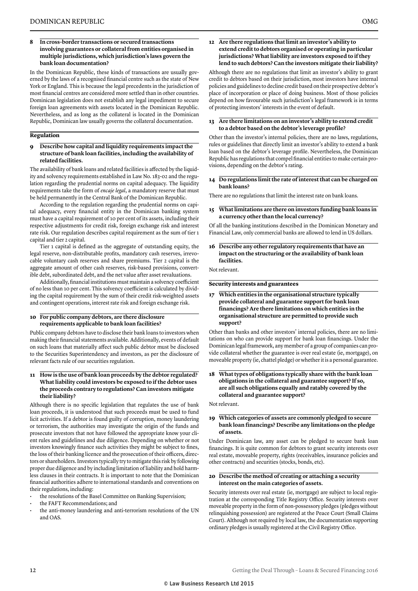#### **8 In cross-border transactions or secured transactions involving guarantees or collateral from entities organised in multiple jurisdictions, which jurisdiction's laws govern the bank loan documentation?**

In the Dominican Republic, these kinds of transactions are usually governed by the laws of a recognised financial centre such as the state of New York or England. This is because the legal precedents in the jurisdiction of most financial centres are considered more settled than in other countries. Dominican legislation does not establish any legal impediment to secure foreign loan agreements with assets located in the Dominican Republic. Nevertheless, and as long as the collateral is located in the Dominican Republic, Dominican law usually governs the collateral documentation.

#### **Regulation**

#### **9 Describe how capital and liquidity requirements impact the structure of bank loan facilities, including the availability of related facilities.**

The availability of bank loans and related facilities is affected by the liquidity and solvency requirements established in Law No. 183-02 and the regulation regarding the prudential norms on capital adequacy. The liquidity requirements take the form of *encaje legal*, a mandatory reserve that must be held permanently in the Central Bank of the Dominican Republic.

According to the regulation regarding the prudential norms on capital adequacy, every financial entity in the Dominican banking system must have a capital requirement of 10 per cent of its assets, including their respective adjustments for credit risk, foreign exchange risk and interest rate risk. Our regulation describes capital requirement as the sum of tier 1 capital and tier 2 capital.

Tier 1 capital is defined as the aggregate of outstanding equity, the legal reserve, non-distributable profits, mandatory cash reserves, irrevocable voluntary cash reserves and share premiums. Tier 2 capital is the aggregate amount of other cash reserves, risk-based provisions, convertible debt, subordinated debt, and the net value after asset revaluations.

Additionally, financial institutions must maintain a solvency coefficient of no less than 10 per cent. This solvency coefficient is calculated by dividing the capital requirement by the sum of their credit risk-weighted assets and contingent operations, interest rate risk and foreign exchange risk.

#### **10 For public company debtors, are there disclosure requirements applicable to bank loan facilities?**

Public company debtors have to disclose their bank loans to investors when making their financial statements available. Additionally, events of default on such loans that materially affect such public debtor must be disclosed to the Securities Superintendency and investors, as per the disclosure of relevant facts rule of our securities regulation.

#### **11 How is the use of bank loan proceeds by the debtor regulated? What liability could investors be exposed to if the debtor uses the proceeds contrary to regulations? Can investors mitigate their liability?**

Although there is no specific legislation that regulates the use of bank loan proceeds, it is understood that such proceeds must be used to fund licit activities. If a debtor is found guilty of corruption, money laundering or terrorism, the authorities may investigate the origin of the funds and prosecute investors that not have followed the appropriate know your client rules and guidelines and due diligence. Depending on whether or not investors knowingly finance such activities they might be subject to fines, the loss of their banking licence and the prosecution of their officers, directors or shareholders. Investors typically try to mitigate this risk by following proper due diligence and by including limitation of liability and hold harmless clauses in their contracts. It is important to note that the Dominican financial authorities adhere to international standards and conventions on their regulations, including:

- the resolutions of the Basel Committee on Banking Supervision;
- the FAFT Recommendations; and
- the anti-money laundering and anti-terrorism resolutions of the UN and OAS.

#### **12 Are there regulations that limit an investor's ability to extend credit to debtors organised or operating in particular jurisdictions? What liability are investors exposed to if they lend to such debtors? Can the investors mitigate their liability?**

Although there are no regulations that limit an investor's ability to grant credit to debtors based on their jurisdiction, most investors have internal policies and guidelines to decline credit based on their prospective debtor's place of incorporation or place of doing business. Most of those policies depend on how favourable such jurisdiction's legal framework is in terms of protecting investors' interests in the event of default.

#### **13 Are there limitations on an investor's ability to extend credit to a debtor based on the debtor's leverage profile?**

Other than the investor's internal policies, there are no laws, regulations, rules or guidelines that directly limit an investor's ability to extend a bank loan based on the debtor's leverage profile. Nevertheless, the Dominican Republic has regulations that compel financial entities to make certain provisions, depending on the debtor's rating.

#### **14 Do regulations limit the rate of interest that can be charged on bank loans?**

There are no regulations that limit the interest rate on bank loans.

#### **15 What limitations are there on investors funding bank loans in a currency other than the local currency?**

Of all the banking institutions described in the Dominican Monetary and Financial Law, only commercial banks are allowed to lend in US dollars.

#### **16 Describe any other regulatory requirements that have an impact on the structuring or the availability of bank loan facilities.**

Not relevant.

#### **Security interests and guarantees**

**17 Which entities in the organisational structure typically provide collateral and guarantee support for bank loan financings? Are there limitations on which entities in the organisational structure are permitted to provide such support?**

Other than banks and other investors' internal policies, there are no limitations on who can provide support for bank loan financings. Under the Dominican legal framework, any member of a group of companies can provide collateral whether the guarantee is over real estate (ie, mortgage), on moveable property (ie, chattel pledge) or whether it is a personal guarantee.

#### **18 What types of obligations typically share with the bank loan obligations in the collateral and guarantee support? If so, are all such obligations equally and ratably covered by the collateral and guarantee support?**

Not relevant.

#### **19 Which categories of assets are commonly pledged to secure bank loan financings? Describe any limitations on the pledge of assets.**

Under Dominican law, any asset can be pledged to secure bank loan financings. It is quite common for debtors to grant security interests over real estate, moveable property, rights (receivables, insurance policies and other contracts) and securities (stocks, bonds, etc).

#### **20 Describe the method of creating or attaching a security interest on the main categories of assets.**

Security interests over real estate (ie, mortgage) are subject to local registration at the corresponding Title Registry Office. Security interests over moveable property in the form of non-possessory pledges (pledges without relinquishing possession) are registered at the Peace Court (Small Claims Court). Although not required by local law, the documentation supporting ordinary pledges is usually registered at the Civil Registry Office.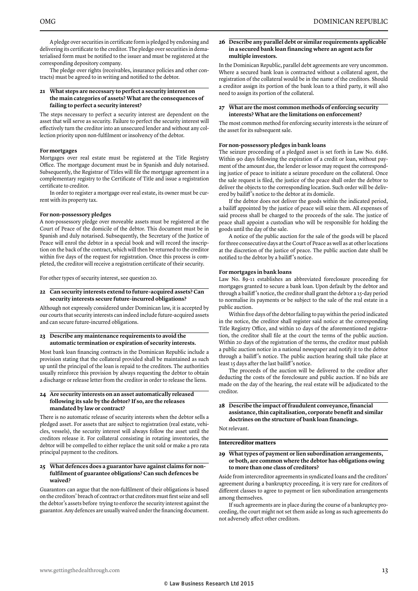A pledge over securities in certificate form is pledged by endorsing and delivering its certificate to the creditor. The pledge over securities in dematerialised form must be notified to the issuer and must be registered at the corresponding depository company.

The pledge over rights (receivables, insurance policies and other contracts) must be agreed to in writing and notified to the debtor.

#### **21 What steps are necessary to perfect a security interest on the main categories of assets? What are the consequences of failing to perfect a security interest?**

The steps necessary to perfect a security interest are dependent on the asset that will serve as security. Failure to perfect the security interest will effectively turn the creditor into an unsecured lender and without any collection priority upon non-fulfilment or insolvency of the debtor.

#### **For mortgages**

Mortgages over real estate must be registered at the Title Registry Office. The mortgage document must be in Spanish and duly notarised. Subsequently, the Registrar of Titles will file the mortgage agreement in a complementary registry to the Certificate of Title and issue a registration certificate to creditor.

In order to register a mortgage over real estate, its owner must be current with its property tax.

#### **For non-possessory pledges**

A non-possessory pledge over moveable assets must be registered at the Court of Peace of the domicile of the debtor. This document must be in Spanish and duly notarised. Subsequently, the Secretary of the Justice of Peace will enrol the debtor in a special book and will record the inscription on the back of the contract, which will then be returned to the creditor within five days of the request for registration. Once this process is completed, the creditor will receive a registration certificate of their security.

For other types of security interest, see question 20.

#### **22 Can security interests extend to future-acquired assets? Can security interests secure future-incurred obligations?**

Although not expressly considered under Dominican law, it is accepted by our courts that security interests can indeed include future-acquired assets and can secure future-incurred obligations.

#### **23 Describe any maintenance requirements to avoid the automatic termination or expiration of security interests.**

Most bank loan financing contracts in the Dominican Republic include a provision stating that the collateral provided shall be maintained as such up until the principal of the loan is repaid to the creditors. The authorities usually reinforce this provision by always requesting the debtor to obtain a discharge or release letter from the creditor in order to release the liens.

#### **24 Are security interests on an asset automatically released following its sale by the debtor? If so, are the releases mandated by law or contract?**

There is no automatic release of security interests when the debtor sells a pledged asset. For assets that are subject to registration (real estate, vehicles, vessels), the security interest will always follow the asset until the creditors release it. For collateral consisting in rotating inventories, the debtor will be compelled to either replace the unit sold or make a pro rata principal payment to the creditors.

#### **25 What defences does a guarantor have against claims for nonfulfilment of guarantee obligations? Can such defences be waived?**

Guarantors can argue that the non-fulfilment of their obligations is based on the creditors' breach of contract or that creditors must first seize and sell the debtor's assets before trying to enforce the security interest against the guarantor. Any defences are usually waived under the financing document.

#### **26 Describe any parallel debt or similar requirements applicable in a secured bank loan financing where an agent acts for multiple investors.**

In the Dominican Republic, parallel debt agreements are very uncommon. Where a secured bank loan is contracted without a collateral agent, the registration of the collateral would be in the name of the creditors. Should a creditor assign its portion of the bank loan to a third party, it will also need to assign its portion of the collateral.

#### **27 What are the most common methods of enforcing security interests? What are the limitations on enforcement?**

The most common method for enforcing security interests is the seizure of the asset for its subsequent sale.

#### **For non-possessory pledges in bank loans**

The seizure proceeding of a pledged asset is set forth in Law No. 6186. Within 90 days following the expiration of a credit or loan, without payment of the amount due, the lender or lessor may request the corresponding justice of peace to initiate a seizure procedure on the collateral. Once the sale request is filed, the justice of the peace shall order the debtor to deliver the objects to the corresponding location. Such order will be delivered by bailiff 's notice to the debtor at its domicile.

If the debtor does not deliver the goods within the indicated period, a bailiff appointed by the justice of peace will seize them. All expenses of said process shall be charged to the proceeds of the sale. The justice of peace shall appoint a custodian who will be responsible for holding the goods until the day of the sale.

A notice of the public auction for the sale of the goods will be placed for three consecutive days at the Court of Peace as well as at other locations at the discretion of the justice of peace. The public auction date shall be notified to the debtor by a bailiff 's notice.

#### **For mortgages in bank loans**

Law No. 89-11 establishes an abbreviated foreclosure proceeding for mortgages granted to secure a bank loan. Upon default by the debtor and through a bailiff 's notice, the creditor shall grant the debtor a 15-day period to normalise its payments or be subject to the sale of the real estate in a public auction.

Within five days of the debtor failing to pay within the period indicated in the notice, the creditor shall register said notice at the corresponding Title Registry Office, and within 10 days of the aforementioned registration, the creditor shall file at the court the terms of the public auction. Within 20 days of the registration of the terms, the creditor must publish a public auction notice in a national newspaper and notify it to the debtor through a bailiff 's notice. The public auction hearing shall take place at least 15 days after the last bailiff 's notice.

The proceeds of the auction will be delivered to the creditor after deducting the costs of the foreclosure and public auction. If no bids are made on the day of the hearing, the real estate will be adjudicated to the creditor.

#### **28 Describe the impact of fraudulent conveyance, financial assistance, thin capitalisation, corporate benefit and similar doctrines on the structure of bank loan financings.**

Not relevant.

#### **Intercreditor matters**

#### **29 What types of payment or lien subordination arrangements, or both, are common where the debtor has obligations owing to more than one class of creditors?**

Aside from intercreditor agreements in syndicated loans and the creditors' agreement during a bankruptcy proceeding, it is very rare for creditors of different classes to agree to payment or lien subordination arrangements among themselves.

If such agreements are in place during the course of a bankruptcy proceeding, the court might not set them aside as long as such agreements do not adversely affect other creditors.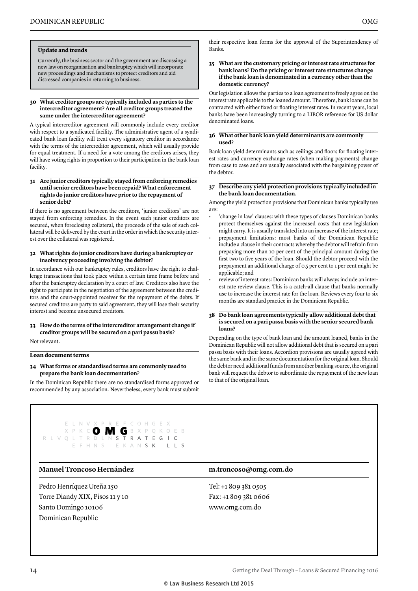#### **Update and trends**

Currently, the business sector and the government are discussing a new law on reorganisation and bankruptcy which will incorporate new proceedings and mechanisms to protect creditors and aid distressed companies in returning to business.

#### **30 What creditor groups are typically included as parties to the intercreditor agreement? Are all creditor groups treated the same under the intercreditor agreement?**

A typical intercreditor agreement will commonly include every creditor with respect to a syndicated facility. The administrative agent of a syndicated bank loan facility will treat every signatory creditor in accordance with the terms of the intercreditor agreement, which will usually provide for equal treatment. If a need for a vote among the creditors arises, they will have voting rights in proportion to their participation in the bank loan facility.

#### **31 Are junior creditors typically stayed from enforcing remedies until senior creditors have been repaid? What enforcement rights do junior creditors have prior to the repayment of senior debt?**

If there is no agreement between the creditors, 'junior creditors' are not stayed from enforcing remedies. In the event such junior creditors are secured, when foreclosing collateral, the proceeds of the sale of such collateral will be delivered by the court in the order in which the security interest over the collateral was registered.

#### **32 What rights do junior creditors have during a bankruptcy or insolvency proceeding involving the debtor?**

In accordance with our bankruptcy rules, creditors have the right to challenge transactions that took place within a certain time frame before and after the bankruptcy declaration by a court of law. Creditors also have the right to participate in the negotiation of the agreement between the creditors and the court-appointed receiver for the repayment of the debts. If secured creditors are party to said agreement, they will lose their security interest and become unsecured creditors.

#### **33 How do the terms of the intercreditor arrangement change if creditor groups will be secured on a pari passu basis?**

Not relevant.

#### **Loan document terms**

#### **34 What forms or standardised terms are commonly used to prepare the bank loan documentation?**

In the Dominican Republic there are no standardised forms approved or recommended by any association. Nevertheless, every bank must submit

#### their respective loan forms for the approval of the Superintendency of Banks.

#### **35 What are the customary pricing or interest rate structures for bank loans? Do the pricing or interest rate structures change if the bank loan is denominated in a currency other than the domestic currency?**

Our legislation allows the parties to a loan agreement to freely agree on the interest rate applicable to the loaned amount. Therefore, bank loans can be contracted with either fixed or floating interest rates. In recent years, local banks have been increasingly turning to a LIBOR reference for US dollar denominated loans.

#### **36 What other bank loan yield determinants are commonly used?**

Bank loan yield determinants such as ceilings and floors for floating interest rates and currency exchange rates (when making payments) change from case to case and are usually associated with the bargaining power of the debtor.

#### **37 Describe any yield protection provisions typically included in the bank loan documentation.**

Among the yield protection provisions that Dominican banks typically use are:

- 'change in law' clauses: with these types of clauses Dominican banks protect themselves against the increased costs that new legislation might carry. It is usually translated into an increase of the interest rate;
- prepayment limitations: most banks of the Dominican Republic include a clause in their contracts whereby the debtor will refrain from prepaying more than 10 per cent of the principal amount during the first two to five years of the loan. Should the debtor proceed with the prepayment an additional charge of 0.5 per cent to 1 per cent might be applicable; and
- review of interest rates: Dominican banks will always include an interest rate review clause. This is a catch-all clause that banks normally use to increase the interest rate for the loan. Reviews every four to six months are standard practice in the Dominican Republic.

#### **38 Do bank loan agreements typically allow additional debt that is secured on a pari passu basis with the senior secured bank loans?**

Depending on the type of bank loan and the amount loaned, banks in the Dominican Republic will not allow additional debt that is secured on a pari passu basis with their loans. Accordion provisions are usually agreed with the same bank and in the same documentation for the original loan. Should the debtor need additional funds from another banking source, the original bank will request the debtor to subordinate the repayment of the new loan to that of the original loan.



#### **Manuel Troncoso Hernández m.troncoso@omg.com.do**

Pedro Henríquez Ureña 150 Torre Diandy XIX, Pisos 11 y 10 Santo Domingo 10106 Dominican Republic

Tel: +1 809 381 0505 Fax: +1 809 381 0606 www.omg.com.do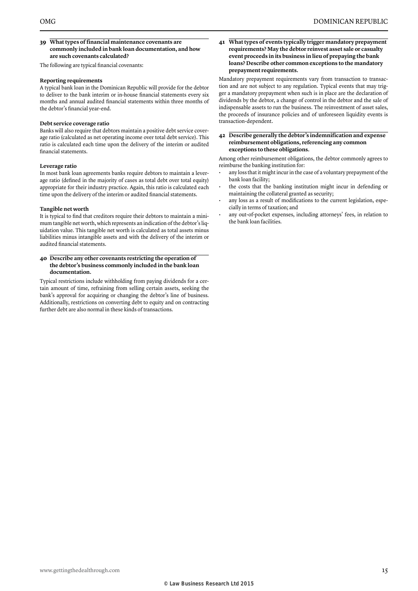#### **39 What types of financial maintenance covenants are commonly included in bank loan documentation, and how are such covenants calculated?**

The following are typical financial covenants:

#### **Reporting requirements**

A typical bank loan in the Dominican Republic will provide for the debtor to deliver to the bank interim or in-house financial statements every six months and annual audited financial statements within three months of the debtor's financial year-end.

#### **Debt service coverage ratio**

Banks will also require that debtors maintain a positive debt service coverage ratio (calculated as net operating income over total debt service). This ratio is calculated each time upon the delivery of the interim or audited financial statements.

#### **Leverage ratio**

In most bank loan agreements banks require debtors to maintain a leverage ratio (defined in the majority of cases as total debt over total equity) appropriate for their industry practice. Again, this ratio is calculated each time upon the delivery of the interim or audited financial statements.

#### **Tangible net worth**

It is typical to find that creditors require their debtors to maintain a minimum tangible net worth, which represents an indication of the debtor's liquidation value. This tangible net worth is calculated as total assets minus liabilities minus intangible assets and with the delivery of the interim or audited financial statements.

#### **40 Describe any other covenants restricting the operation of the debtor's business commonly included in the bank loan documentation.**

Typical restrictions include withholding from paying dividends for a certain amount of time, refraining from selling certain assets, seeking the bank's approval for acquiring or changing the debtor's line of business. Additionally, restrictions on converting debt to equity and on contracting further debt are also normal in these kinds of transactions.

**41 What types of events typically trigger mandatory prepayment requirements? May the debtor reinvest asset sale or casualty event proceeds in its business in lieu of prepaying the bank loans? Describe other common exceptions to the mandatory prepayment requirements.**

Mandatory prepayment requirements vary from transaction to transaction and are not subject to any regulation. Typical events that may trigger a mandatory prepayment when such is in place are the declaration of dividends by the debtor, a change of control in the debtor and the sale of indispensable assets to run the business. The reinvestment of asset sales, the proceeds of insurance policies and of unforeseen liquidity events is transaction-dependent.

#### **42 Describe generally the debtor's indemnification and expense reimbursement obligations, referencing any common exceptions to these obligations.**

Among other reimbursement obligations, the debtor commonly agrees to reimburse the banking institution for:

- any loss that it might incur in the case of a voluntary prepayment of the bank loan facility;
- the costs that the banking institution might incur in defending or maintaining the collateral granted as security;
- any loss as a result of modifications to the current legislation, especially in terms of taxation; and
- any out-of-pocket expenses, including attorneys' fees, in relation to the bank loan facilities.